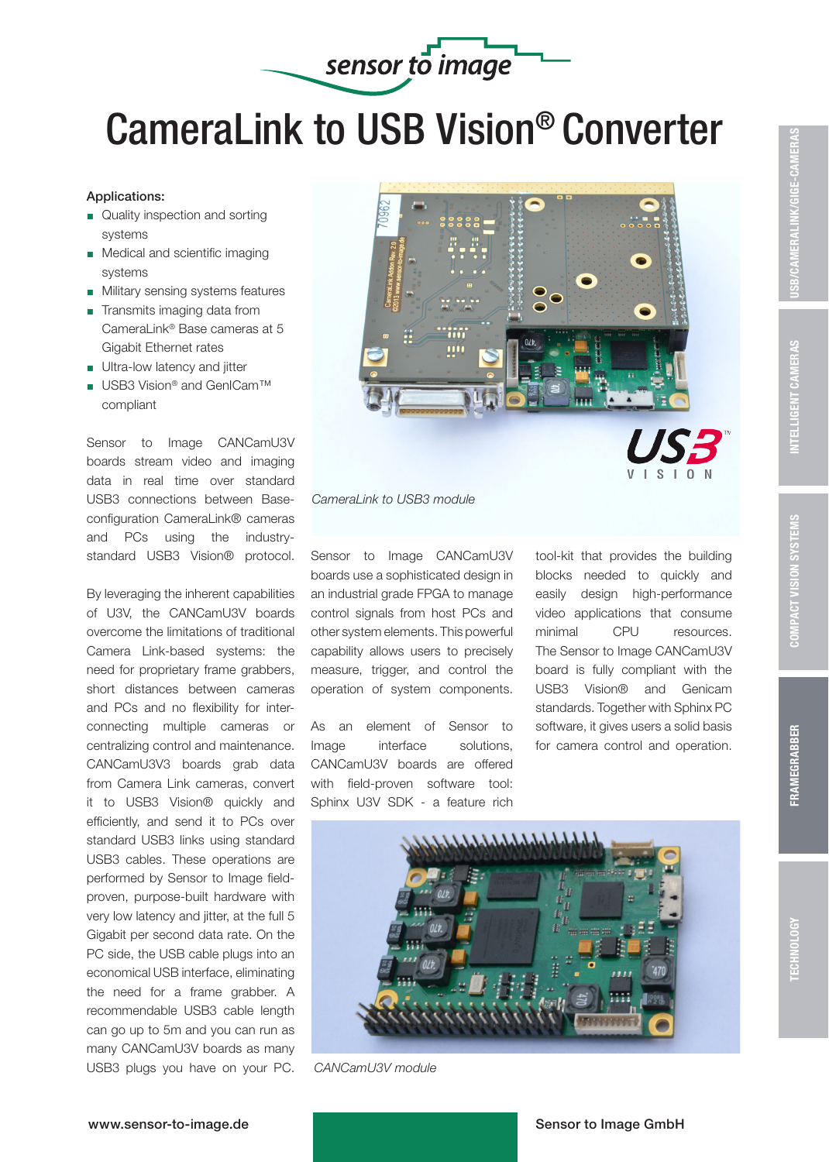

# CameraLink to USB Vision® Converter

## Applications:

- Quality inspection and sorting systems
- **Medical and scientific imaging** systems
- **Military sensing systems features**
- $\blacksquare$  Transmits imaging data from CameraLink® Base cameras at 5 Gigabit Ethernet rates
- Ultra-low latency and jitter
- USB3 Vision® and GenICam™ compliant

Sensor to Image CANCamU3V boards stream video and imaging data in real time over standard USB3 connections between Baseconfiguration CameraLink® cameras and PCs using the industrystandard USB3 Vision® protocol.

By leveraging the inherent capabilities of U3V, the CANCamU3V boards overcome the limitations of traditional Camera Link-based systems: the need for proprietary frame grabbers, short distances between cameras and PCs and no flexibility for interconnecting multiple cameras or centralizing control and maintenance. CANCamU3V3 boards grab data from Camera Link cameras, convert it to USB3 Vision® quickly and efficiently, and send it to PCs over standard USB3 links using standard USB3 cables. These operations are performed by Sensor to Image fieldproven, purpose-built hardware with very low latency and jitter, at the full 5 Gigabit per second data rate. On the PC side, the USB cable plugs into an economical USB interface, eliminating the need for a frame grabber. A recommendable USB3 cable length can go up to 5m and you can run as many CANCamU3V boards as many USB3 plugs you have on your PC.





*CameraLink to USB3 module*

Sensor to Image CANCamU3V boards use a sophisticated design in an industrial grade FPGA to manage control signals from host PCs and other system elements. This powerful capability allows users to precisely measure, trigger, and control the operation of system components.

As an element of Sensor to Image interface solutions, CANCamU3V boards are offered with field-proven software tool: Sphinx U3V SDK - a feature rich tool-kit that provides the building blocks needed to quickly and easily design high-performance video applications that consume minimal CPU resources. The Sensor to Image CANCamU3V board is fully compliant with the USB3 Vision® and Genicam standards. Together with Sphinx PC software, it gives users a solid basis for camera control and operation.



 *CANCamU3V module*